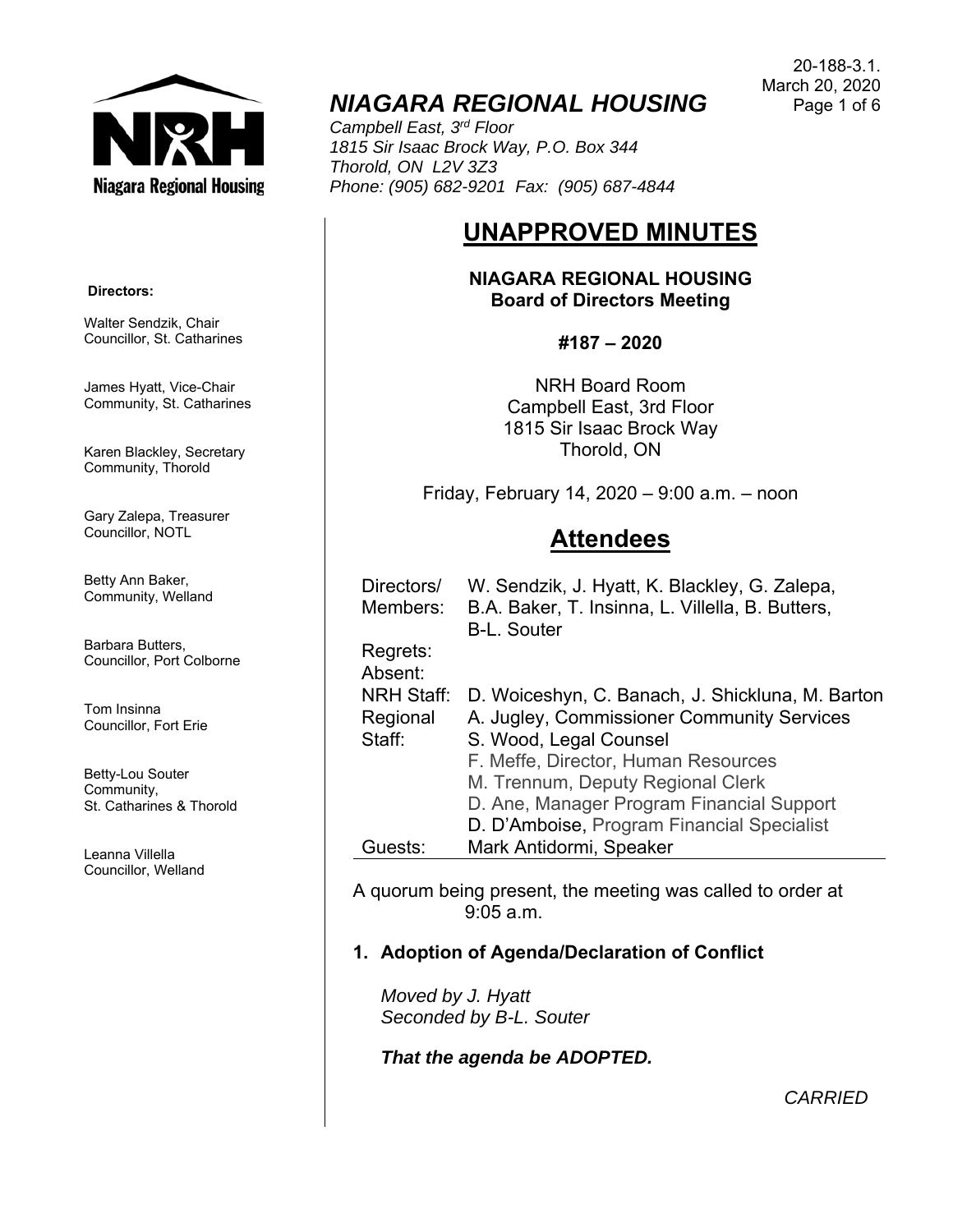

## *NIAGARA REGIONAL HOUSING*

*Campbell East, 3rd Floor 1815 Sir Isaac Brock Way, P.O. Box 344 Thorold, ON L2V 3Z3 Phone: (905) 682-9201 Fax: (905) 687-4844* 

# **UNAPPROVED MINUTES**

**NIAGARA REGIONAL HOUSING Board of Directors Meeting** 

**#187 – 2020** 

NRH Board Room Campbell East, 3rd Floor 1815 Sir Isaac Brock Way Thorold, ON

Friday, February 14, 2020 – 9:00 a.m. – noon

## **Attendees**

| Regrets:<br>Absent:<br><b>NRH Staff:</b><br>D. Woiceshyn, C. Banach, J. Shickluna, M. Barton<br>A. Jugley, Commissioner Community Services<br>Regional<br>S. Wood, Legal Counsel<br>Staff:<br>F. Meffe, Director, Human Resources<br>M. Trennum, Deputy Regional Clerk<br>D. Ane, Manager Program Financial Support<br>D. D'Amboise, Program Financial Specialist | Directors/<br>Members: | W. Sendzik, J. Hyatt, K. Blackley, G. Zalepa,<br>B.A. Baker, T. Insinna, L. Villella, B. Butters,<br><b>B-L. Souter</b> |
|-------------------------------------------------------------------------------------------------------------------------------------------------------------------------------------------------------------------------------------------------------------------------------------------------------------------------------------------------------------------|------------------------|-------------------------------------------------------------------------------------------------------------------------|
|                                                                                                                                                                                                                                                                                                                                                                   |                        |                                                                                                                         |
|                                                                                                                                                                                                                                                                                                                                                                   |                        |                                                                                                                         |
|                                                                                                                                                                                                                                                                                                                                                                   |                        |                                                                                                                         |
|                                                                                                                                                                                                                                                                                                                                                                   |                        |                                                                                                                         |
|                                                                                                                                                                                                                                                                                                                                                                   |                        |                                                                                                                         |
|                                                                                                                                                                                                                                                                                                                                                                   |                        |                                                                                                                         |
|                                                                                                                                                                                                                                                                                                                                                                   |                        |                                                                                                                         |
|                                                                                                                                                                                                                                                                                                                                                                   |                        |                                                                                                                         |
|                                                                                                                                                                                                                                                                                                                                                                   | Guests:                | Mark Antidormi, Speaker                                                                                                 |

A quorum being present, the meeting was called to order at 9:05 a.m.

## **1. Adoption of Agenda/Declaration of Conflict**

*Moved by J. Hyatt Seconded by B-L. Souter* 

*That the agenda be ADOPTED.*

20-188-3.1. March 20, 2020 Page 1 of 6

 **Directors:** 

Walter Sendzik, Chair Councillor, St. Catharines

James Hyatt, Vice-Chair Community, St. Catharines

Karen Blackley, Secretary Community, Thorold

Gary Zalepa, Treasurer Councillor, NOTL

Betty Ann Baker, Community, Welland

Barbara Butters, Councillor, Port Colborne

Tom Insinna Councillor, Fort Erie

Betty-Lou Souter Community, St. Catharines & Thorold

Leanna Villella Councillor, Welland

*CARRIED*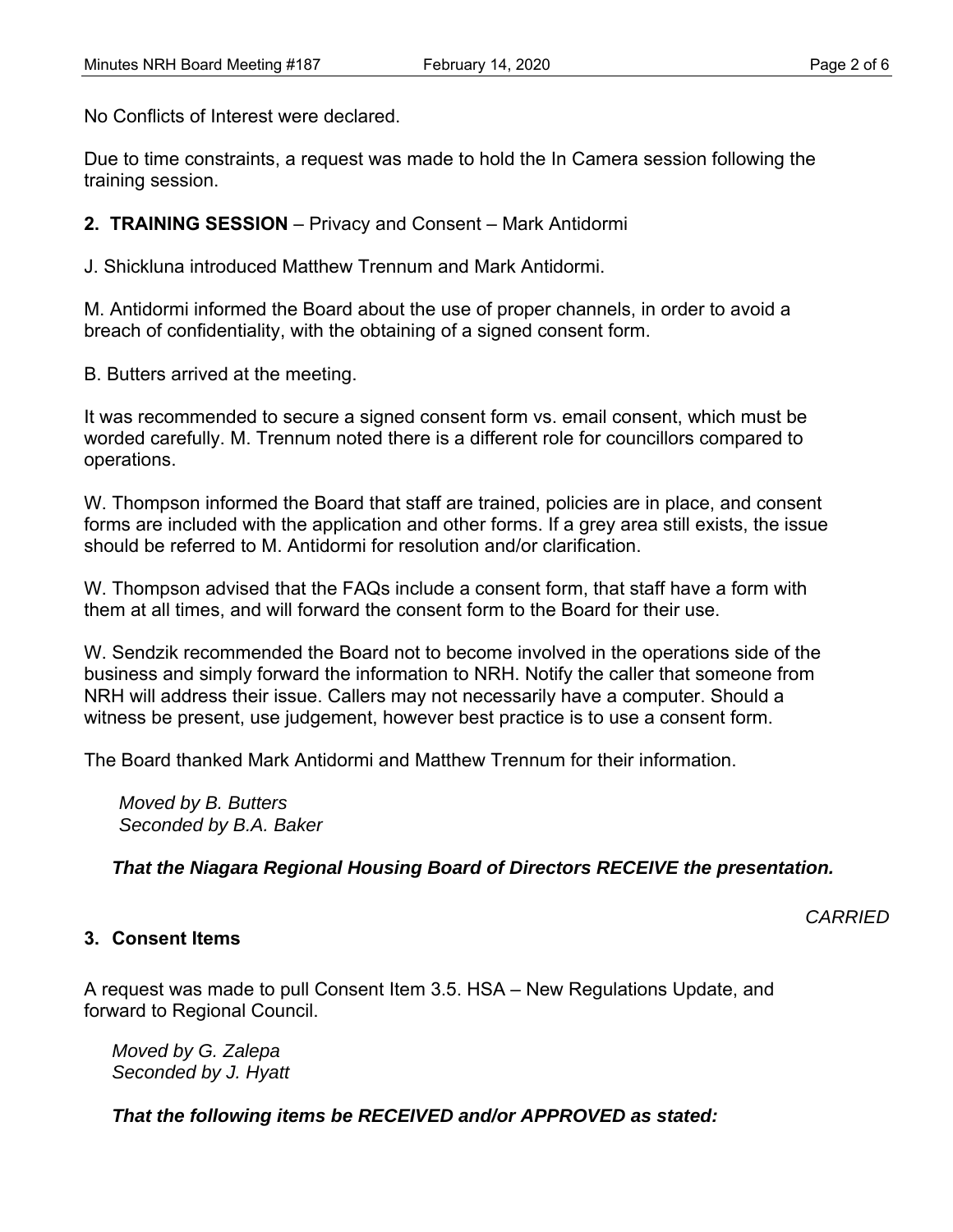No Conflicts of Interest were declared.

Due to time constraints, a request was made to hold the In Camera session following the training session.

**2. TRAINING SESSION** – Privacy and Consent – Mark Antidormi

J. Shickluna introduced Matthew Trennum and Mark Antidormi.

M. Antidormi informed the Board about the use of proper channels, in order to avoid a breach of confidentiality, with the obtaining of a signed consent form.

B. Butters arrived at the meeting.

It was recommended to secure a signed consent form vs. email consent, which must be worded carefully. M. Trennum noted there is a different role for councillors compared to operations.

W. Thompson informed the Board that staff are trained, policies are in place, and consent forms are included with the application and other forms. If a grey area still exists, the issue should be referred to M. Antidormi for resolution and/or clarification.

W. Thompson advised that the FAQs include a consent form, that staff have a form with them at all times, and will forward the consent form to the Board for their use.

W. Sendzik recommended the Board not to become involved in the operations side of the business and simply forward the information to NRH. Notify the caller that someone from NRH will address their issue. Callers may not necessarily have a computer. Should a witness be present, use judgement, however best practice is to use a consent form.

The Board thanked Mark Antidormi and Matthew Trennum for their information.

*Moved by B. Butters Seconded by B.A. Baker* 

*That the Niagara Regional Housing Board of Directors RECEIVE the presentation.* 

*CARRIED* 

## **3. Consent Items**

A request was made to pull Consent Item 3.5. HSA – New Regulations Update, and forward to Regional Council.

*Moved by G. Zalepa Seconded by J. Hyatt* 

*That the following items be RECEIVED and/or APPROVED as stated:*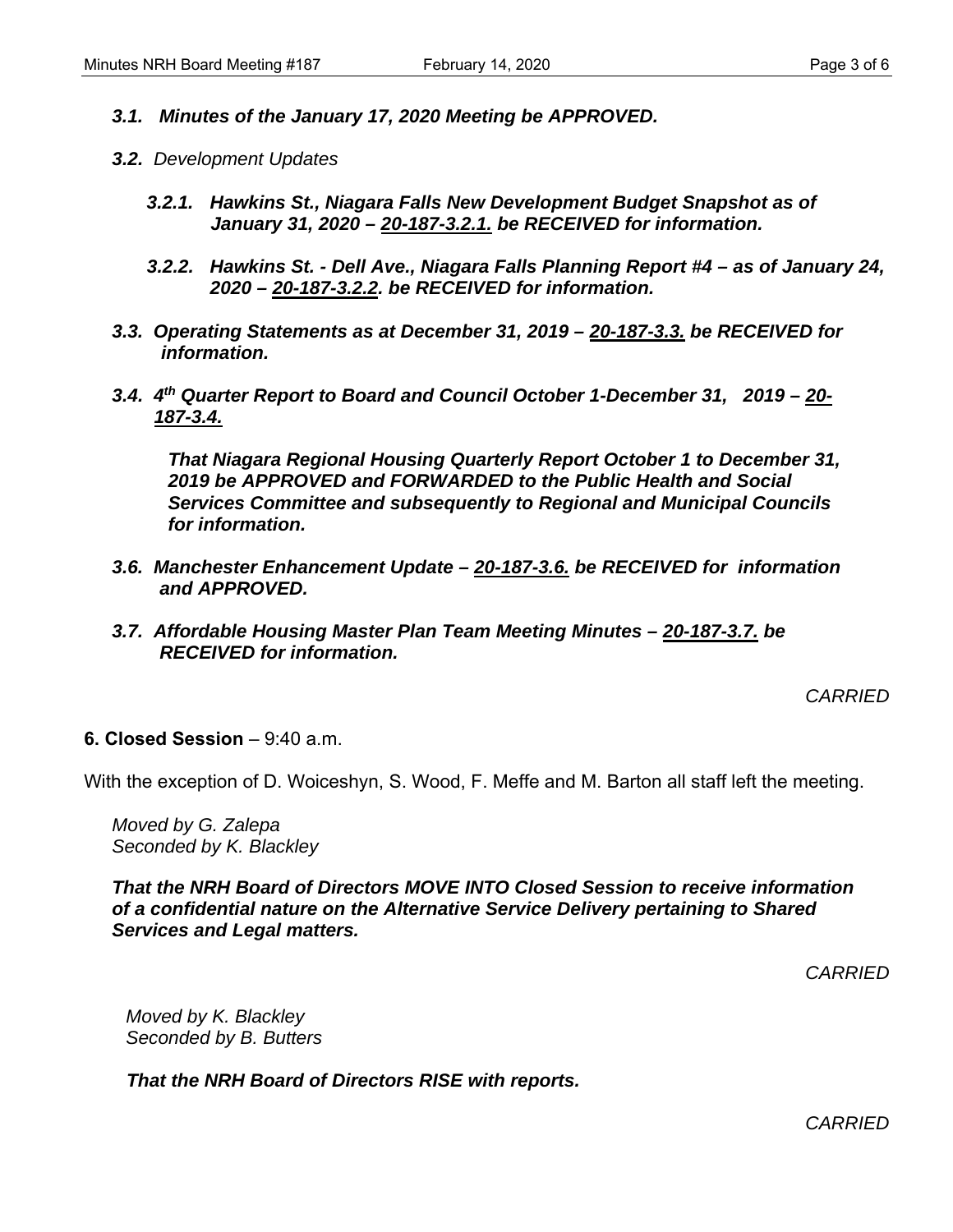- *3.1. Minutes of the January 17, 2020 Meeting be APPROVED.*
- *3.2. Development Updates* 
	- *3.2.1. Hawkins St., Niagara Falls New Development Budget Snapshot as of January 31, 2020 – 20-187-3.2.1. be RECEIVED for information.*
	- *3.2.2. Hawkins St. Dell Ave., Niagara Falls Planning Report #4 as of January 24, 2020 – 20-187-3.2.2. be RECEIVED for information.*
- *3.3. Operating Statements as at December 31, 2019 20-187-3.3. be RECEIVED for information.*
- *3.4. 4th Quarter Report to Board and Council October 1-December 31, 2019 20- 187-3.4.*

*That Niagara Regional Housing Quarterly Report October 1 to December 31, 2019 be APPROVED and FORWARDED to the Public Health and Social Services Committee and subsequently to Regional and Municipal Councils for information.* 

- *3.6. Manchester Enhancement Update 20-187-3.6. be RECEIVED for information and APPROVED.*
- *3.7. Affordable Housing Master Plan Team Meeting Minutes 20-187-3.7. be RECEIVED for information.*

*CARRIED* 

**6. Closed Session** – 9:40 a.m.

With the exception of D. Woiceshyn, S. Wood, F. Meffe and M. Barton all staff left the meeting.

*Moved by G. Zalepa Seconded by K. Blackley* 

*That the NRH Board of Directors MOVE INTO Closed Session to receive information of a confidential nature on the Alternative Service Delivery pertaining to Shared Services and Legal matters.* 

*CARRIED* 

*Moved by K. Blackley Seconded by B. Butters* 

*That the NRH Board of Directors RISE with reports.* 

*CARRIED*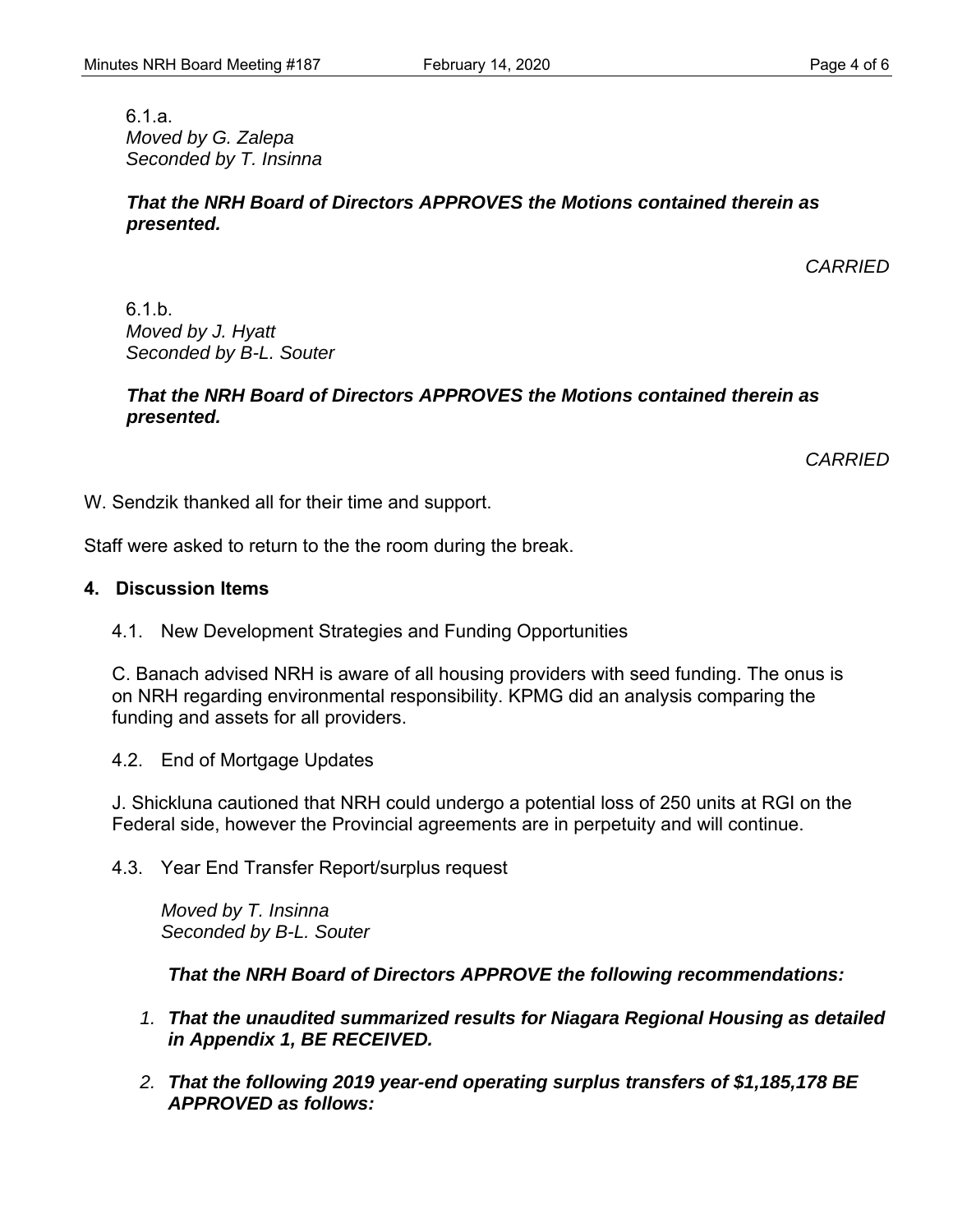6.1.a. *Moved by G. Zalepa Seconded by T. Insinna* 

#### *That the NRH Board of Directors APPROVES the Motions contained therein as presented.*

*CARRIED* 

6.1.b. *Moved by J. Hyatt Seconded by B-L. Souter* 

#### *That the NRH Board of Directors APPROVES the Motions contained therein as presented.*

*CARRIED* 

W. Sendzik thanked all for their time and support.

Staff were asked to return to the the room during the break.

### **4. Discussion Items**

4.1. New Development Strategies and Funding Opportunities

C. Banach advised NRH is aware of all housing providers with seed funding. The onus is on NRH regarding environmental responsibility. KPMG did an analysis comparing the funding and assets for all providers.

4.2. End of Mortgage Updates

J. Shickluna cautioned that NRH could undergo a potential loss of 250 units at RGI on the Federal side, however the Provincial agreements are in perpetuity and will continue.

4.3. Year End Transfer Report/surplus request

*Moved by T. Insinna Seconded by B-L. Souter* 

*That the NRH Board of Directors APPROVE the following recommendations:* 

- *1. That the unaudited summarized results for Niagara Regional Housing as detailed in Appendix 1, BE RECEIVED.*
- *2. That the following 2019 year-end operating surplus transfers of \$1,185,178 BE APPROVED as follows:*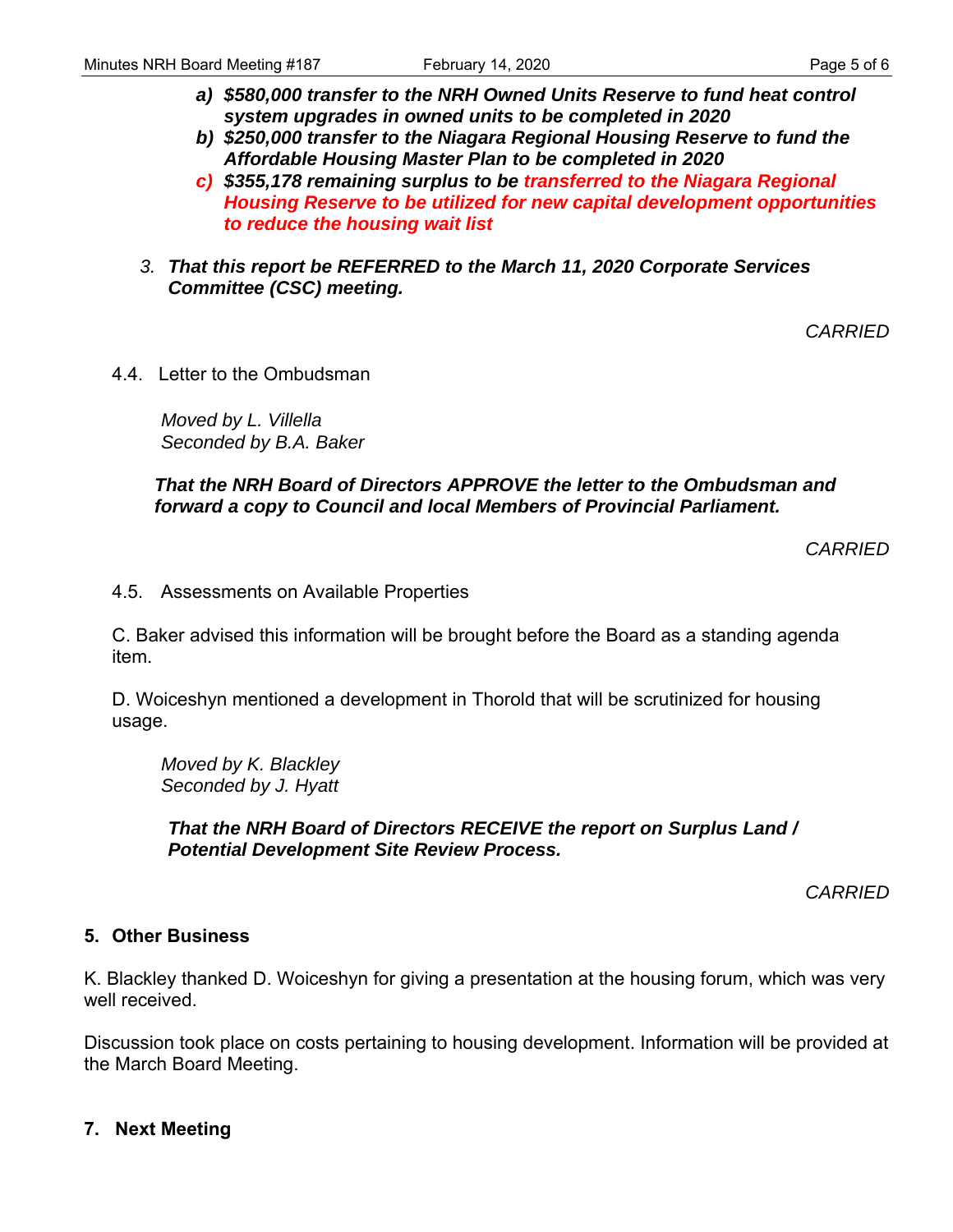- *a) \$580,000 transfer to the NRH Owned Units Reserve to fund heat control system upgrades in owned units to be completed in 2020*
- *b) \$250,000 transfer to the Niagara Regional Housing Reserve to fund the Affordable Housing Master Plan to be completed in 2020*
- *c) \$355,178 remaining surplus to be transferred to the Niagara Regional Housing Reserve to be utilized for new capital development opportunities to reduce the housing wait list*
- *3. That this report be REFERRED to the March 11, 2020 Corporate Services Committee (CSC) meeting.*

*CARRIED* 

4.4. Letter to the Ombudsman

*Moved by L. Villella Seconded by B.A. Baker* 

*That the NRH Board of Directors APPROVE the letter to the Ombudsman and forward a copy to Council and local Members of Provincial Parliament.* 

*CARRIED* 

4.5. Assessments on Available Properties

C. Baker advised this information will be brought before the Board as a standing agenda item.

D. Woiceshyn mentioned a development in Thorold that will be scrutinized for housing usage.

*Moved by K. Blackley Seconded by J. Hyatt* 

*That the NRH Board of Directors RECEIVE the report on Surplus Land / Potential Development Site Review Process.* 

*CARRIED* 

#### **5. Other Business**

K. Blackley thanked D. Woiceshyn for giving a presentation at the housing forum, which was very well received.

Discussion took place on costs pertaining to housing development. Information will be provided at the March Board Meeting.

#### **7. Next Meeting**